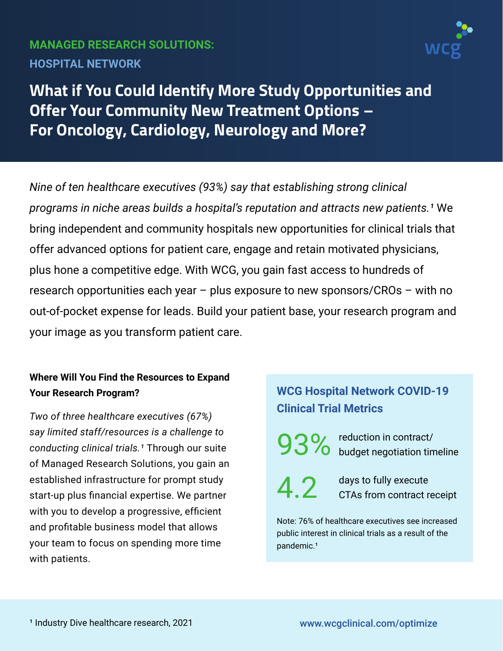# **MANAGED RESEARCH SOLUTIONS: HOSPITAL NETWORK**



**What if You Could Identify More Study Opportunities and Offer Your Community New Treatment Options – For Oncology, Cardiology, Neurology and More?**

*Nine of ten healthcare executives (93%) say that establishing strong clinical programs in niche areas builds a hospital's reputation and attracts new patients.<sup>1</sup> We* bring independent and community hospitals new opportunities for clinical trials that offer advanced options for patient care, engage and retain motivated physicians, plus hone a competitive edge. With WCG, you gain fast access to hundreds of research opportunities each year – plus exposure to new sponsors/CROs – with no out-of-pocket expense for leads. Build your patient base, your research program and your image as you transform patient care.

### **Where Will You Find the Resources to Expand Your Research Program?**

*Two of three healthcare executives (67%) say limited staff/resources is a challenge to conducting clinical trials.¹* Through our suite of Managed Research Solutions, you gain an established infrastructure for prompt study start-up plus financial expertise. We partner with you to develop a progressive, efficient and profitable business model that allows your team to focus on spending more time with patients.

# **WCG Hospital Network COVID-19 Clinical Trial Metrics**

93% reduction in contract/<br>budget negotiation tir budget negotiation timeline

4.2

days to fully execute CTAs from contract receipt

Note: 76% of healthcare executives see increased public interest in clinical trials as a result of the pandemic.<sup>1</sup>